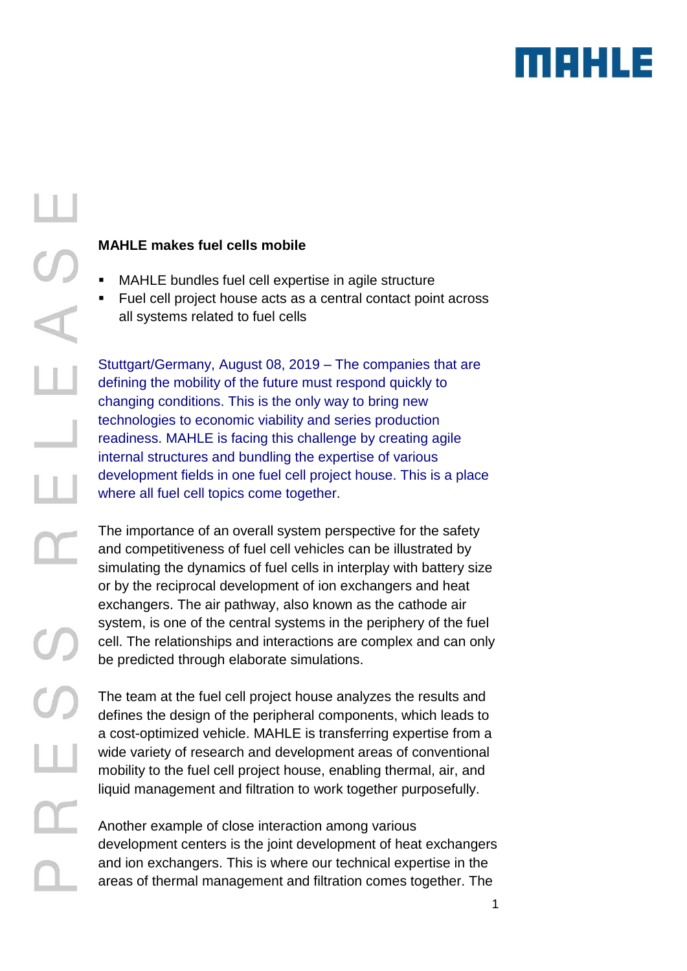

 $\Box$ 

# **MAHLE makes fuel cells mobile**

- MAHLE bundles fuel cell expertise in agile structure
- Fuel cell project house acts as a central contact point across all systems related to fuel cells

Stuttgart/Germany, August 08, 2019 – The companies that are defining the mobility of the future must respond quickly to changing conditions. This is the only way to bring new technologies to economic viability and series production readiness. MAHLE is facing this challenge by creating agile internal structures and bundling the expertise of various development fields in one fuel cell project house. This is a place where all fuel cell topics come together.

The importance of an overall system perspective for the safety and competitiveness of fuel cell vehicles can be illustrated by simulating the dynamics of fuel cells in interplay with battery size or by the reciprocal development of ion exchangers and heat exchangers. The air pathway, also known as the cathode air system, is one of the central systems in the periphery of the fuel cell. The relationships and interactions are complex and can only be predicted through elaborate simulations.

The team at the fuel cell project house analyzes the results and defines the design of the peripheral components, which leads to a cost-optimized vehicle. MAHLE is transferring expertise from a wide variety of research and development areas of conventional mobility to the fuel cell project house, enabling thermal, air, and liquid management and filtration to work together purposefully.

Another example of close interaction among various development centers is the joint development of heat exchangers and ion exchangers. This is where our technical expertise in the areas of thermal management and filtration comes together. The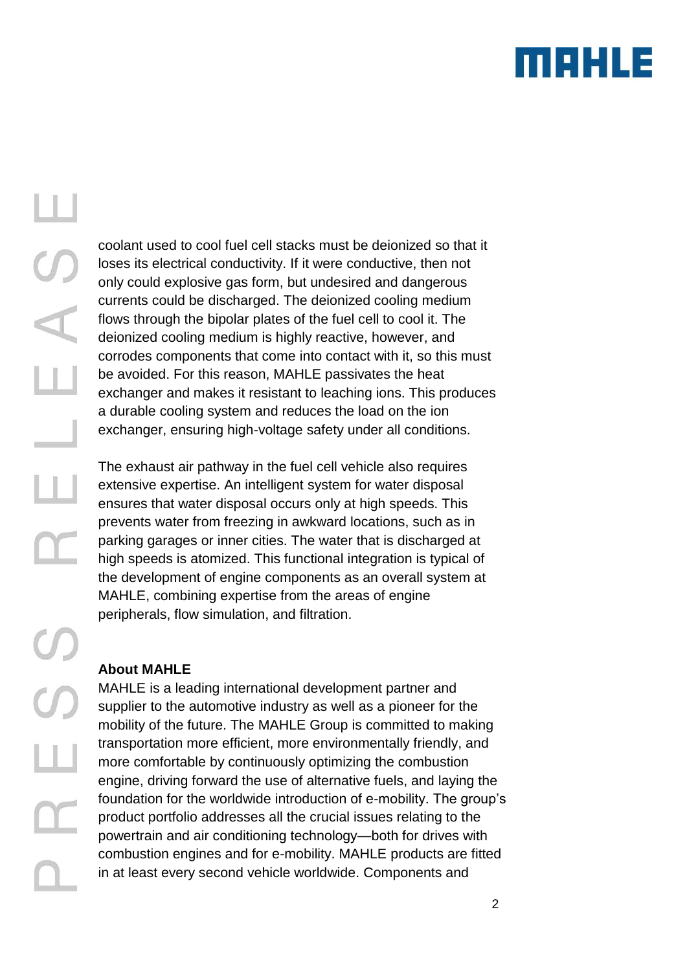

coolant used to cool fuel cell stacks must be deionized so that it loses its electrical conductivity. If it were conductive, then not only could explosive gas form, but undesired and dangerous currents could be discharged. The deionized cooling medium flows through the bipolar plates of the fuel cell to cool it. The deionized cooling medium is highly reactive, however, and corrodes components that come into contact with it, so this must be avoided. For this reason, MAHLE passivates the heat exchanger and makes it resistant to leaching ions. This produces a durable cooling system and reduces the load on the ion exchanger, ensuring high-voltage safety under all conditions.

The exhaust air pathway in the fuel cell vehicle also requires extensive expertise. An intelligent system for water disposal ensures that water disposal occurs only at high speeds. This prevents water from freezing in awkward locations, such as in parking garages or inner cities. The water that is discharged at high speeds is atomized. This functional integration is typical of the development of engine components as an overall system at MAHLE, combining expertise from the areas of engine peripherals, flow simulation, and filtration.

### **About MAHLE**

MAHLE is a leading international development partner and supplier to the automotive industry as well as a pioneer for the mobility of the future. The MAHLE Group is committed to making transportation more efficient, more environmentally friendly, and more comfortable by continuously optimizing the combustion engine, driving forward the use of alternative fuels, and laying the foundation for the worldwide introduction of e-mobility. The group's product portfolio addresses all the crucial issues relating to the powertrain and air conditioning technology—both for drives with combustion engines and for e-mobility. MAHLE products are fitted in at least every second vehicle worldwide. Components and